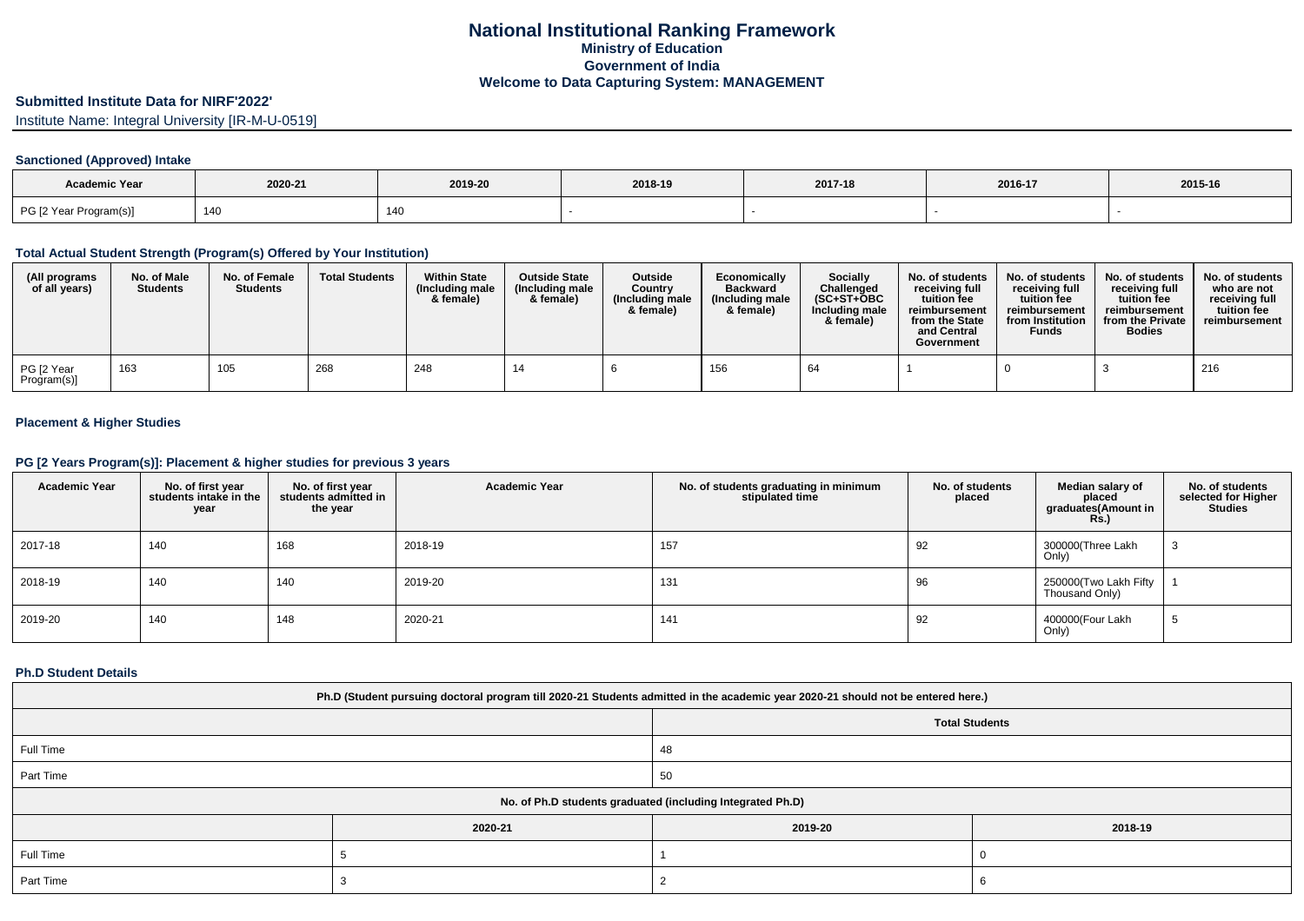## **Submitted Institute Data for NIRF'2022'**

Institute Name: Integral University [IR-M-U-0519]

#### **Sanctioned (Approved) Intake**

| <b>Academic Year</b>   | 2020-21 | 2019-20 | 2018-19 | 2017-18 | 2016-17 | 2015-16 |
|------------------------|---------|---------|---------|---------|---------|---------|
| PG [2 Year Program(s)] | 14      | 140     |         |         |         |         |

## **Total Actual Student Strength (Program(s) Offered by Your Institution)**

| (All programs<br>of all years) | No. of Male<br><b>Students</b> | No. of Female<br><b>Students</b> | <b>Total Students</b> | <b>Within State</b><br>(Including male)<br>& female) | <b>Outside State</b><br>(Including male)<br>& female) | Outside<br>Country<br>(Including male<br>& female) | Economically<br><b>Backward</b><br>(Including male)<br>& female) | Socially<br>Challenged<br>$(SC+ST+OBC$<br>Including male<br>& female) | No. of students<br>receiving full<br>tuition fee<br>reimbursement<br>from the State<br>and Central<br>Government | No. of students<br>receiving full<br>tuition fee<br>reimbursement<br>from Institution<br><b>Funds</b> | No. of students<br>receiving full<br>tuition fee<br>reimbursement<br>from the Private<br><b>Bodies</b> | No. of students<br>who are not<br>receiving full<br>tuition fee<br>reimbursement |
|--------------------------------|--------------------------------|----------------------------------|-----------------------|------------------------------------------------------|-------------------------------------------------------|----------------------------------------------------|------------------------------------------------------------------|-----------------------------------------------------------------------|------------------------------------------------------------------------------------------------------------------|-------------------------------------------------------------------------------------------------------|--------------------------------------------------------------------------------------------------------|----------------------------------------------------------------------------------|
| PG [2 Year<br>Program(s)]      | 163                            | 105                              | 268                   | 248                                                  | 14                                                    |                                                    | 156                                                              | 64                                                                    |                                                                                                                  |                                                                                                       |                                                                                                        | 216                                                                              |

## **Placement & Higher Studies**

#### **PG [2 Years Program(s)]: Placement & higher studies for previous 3 years**

| <b>Academic Year</b> | No. of first year<br>students intake in the<br>year | No. of first year<br>students admitted in<br>the year | <b>Academic Year</b> | No. of students graduating in minimum<br>stipulated time | No. of students<br>placed | Median salary of<br>placed<br>graduates(Amount in<br><b>Rs.)</b> | No. of students<br>selected for Higher<br><b>Studies</b> |
|----------------------|-----------------------------------------------------|-------------------------------------------------------|----------------------|----------------------------------------------------------|---------------------------|------------------------------------------------------------------|----------------------------------------------------------|
| 2017-18              | 140                                                 | 168                                                   | 2018-19              | 157                                                      | 92                        | 300000(Three Lakh<br>Only)                                       |                                                          |
| 2018-19              | 140                                                 | 140                                                   | 2019-20              | 131                                                      | 96                        | 250000(Two Lakh Fifty<br>Thousand Only)                          |                                                          |
| 2019-20              | 140                                                 | 148                                                   | 2020-21              | 141                                                      | 92                        | 400000(Four Lakh<br>Only)                                        |                                                          |

### **Ph.D Student Details**

| Ph.D (Student pursuing doctoral program till 2020-21 Students admitted in the academic year 2020-21 should not be entered here.) |         |                                                            |         |  |
|----------------------------------------------------------------------------------------------------------------------------------|---------|------------------------------------------------------------|---------|--|
|                                                                                                                                  |         | <b>Total Students</b>                                      |         |  |
| Full Time                                                                                                                        |         | 48                                                         |         |  |
| Part Time                                                                                                                        |         | 50                                                         |         |  |
|                                                                                                                                  |         | No. of Ph.D students graduated (including Integrated Ph.D) |         |  |
|                                                                                                                                  | 2020-21 | 2019-20                                                    | 2018-19 |  |
| Full Time                                                                                                                        |         |                                                            |         |  |
| Part Time                                                                                                                        |         |                                                            |         |  |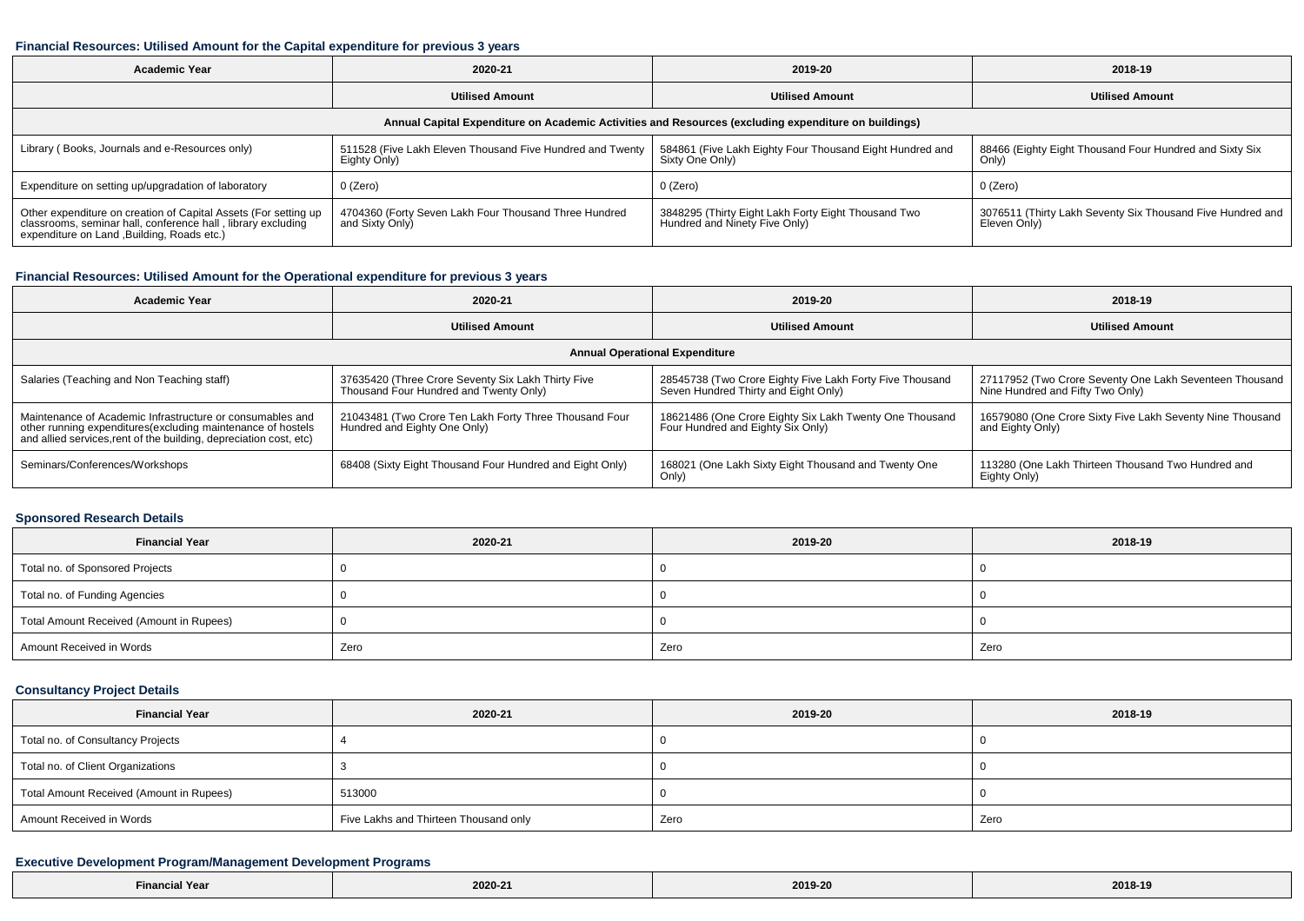#### **Financial Resources: Utilised Amount for the Capital expenditure for previous 3 years**

| <b>Academic Year</b>                                                                                                                                                           | 2020-21                                                                   | 2019-20                                                                              | 2018-19                                                                    |  |  |
|--------------------------------------------------------------------------------------------------------------------------------------------------------------------------------|---------------------------------------------------------------------------|--------------------------------------------------------------------------------------|----------------------------------------------------------------------------|--|--|
|                                                                                                                                                                                | <b>Utilised Amount</b>                                                    | <b>Utilised Amount</b>                                                               | <b>Utilised Amount</b>                                                     |  |  |
| Annual Capital Expenditure on Academic Activities and Resources (excluding expenditure on buildings)                                                                           |                                                                           |                                                                                      |                                                                            |  |  |
| Library (Books, Journals and e-Resources only)                                                                                                                                 | 511528 (Five Lakh Eleven Thousand Five Hundred and Twenty<br>Eighty Only) | 584861 (Five Lakh Eighty Four Thousand Eight Hundred and<br>Sixty One Only)          | 88466 (Eighty Eight Thousand Four Hundred and Sixty Six<br>Only)           |  |  |
| Expenditure on setting up/upgradation of laboratory                                                                                                                            | 0 (Zero)                                                                  | 0 (Zero)                                                                             | 0 (Zero)                                                                   |  |  |
| Other expenditure on creation of Capital Assets (For setting up<br>classrooms, seminar hall, conference hall, library excluding<br>expenditure on Land , Building, Roads etc.) | 4704360 (Forty Seven Lakh Four Thousand Three Hundred<br>and Sixty Only)  | 3848295 (Thirty Eight Lakh Forty Eight Thousand Two<br>Hundred and Ninety Five Only) | 3076511 (Thirty Lakh Seventy Six Thousand Five Hundred and<br>Eleven Only) |  |  |

### **Financial Resources: Utilised Amount for the Operational expenditure for previous 3 years**

| <b>Academic Year</b>                                                                                                                                                                            | 2020-21                                                                                      | 2019-20                                                                                          | 2018-19                                                                                     |  |  |
|-------------------------------------------------------------------------------------------------------------------------------------------------------------------------------------------------|----------------------------------------------------------------------------------------------|--------------------------------------------------------------------------------------------------|---------------------------------------------------------------------------------------------|--|--|
|                                                                                                                                                                                                 | <b>Utilised Amount</b>                                                                       | <b>Utilised Amount</b>                                                                           | <b>Utilised Amount</b>                                                                      |  |  |
| <b>Annual Operational Expenditure</b>                                                                                                                                                           |                                                                                              |                                                                                                  |                                                                                             |  |  |
| Salaries (Teaching and Non Teaching staff)                                                                                                                                                      | 37635420 (Three Crore Seventy Six Lakh Thirty Five<br>Thousand Four Hundred and Twenty Only) | 28545738 (Two Crore Eighty Five Lakh Forty Five Thousand<br>Seven Hundred Thirty and Eight Only) | 27117952 (Two Crore Seventy One Lakh Seventeen Thousand<br>Nine Hundred and Fifty Two Only) |  |  |
| Maintenance of Academic Infrastructure or consumables and<br>other running expenditures (excluding maintenance of hostels<br>and allied services, rent of the building, depreciation cost, etc) | 21043481 (Two Crore Ten Lakh Forty Three Thousand Four<br>Hundred and Eighty One Only)       | 18621486 (One Crore Eighty Six Lakh Twenty One Thousand<br>Four Hundred and Eighty Six Only)     | 16579080 (One Crore Sixty Five Lakh Seventy Nine Thousand<br>and Eighty Only)               |  |  |
| Seminars/Conferences/Workshops                                                                                                                                                                  | 68408 (Sixty Eight Thousand Four Hundred and Eight Only)                                     | 168021 (One Lakh Sixty Eight Thousand and Twenty One<br>Only)                                    | 113280 (One Lakh Thirteen Thousand Two Hundred and<br>Eighty Only)                          |  |  |

#### **Sponsored Research Details**

| <b>Financial Year</b>                    | 2020-21 | 2019-20 | 2018-19 |
|------------------------------------------|---------|---------|---------|
| Total no. of Sponsored Projects          |         |         |         |
| Total no. of Funding Agencies            |         |         |         |
| Total Amount Received (Amount in Rupees) |         |         |         |
| Amount Received in Words                 | Zero    | Zero    | Zero    |

## **Consultancy Project Details**

└

| <b>Financial Year</b>                    | 2020-21                               | 2019-20 | 2018-19 |
|------------------------------------------|---------------------------------------|---------|---------|
| Total no. of Consultancy Projects        |                                       |         |         |
| Total no. of Client Organizations        |                                       |         |         |
| Total Amount Received (Amount in Rupees) | 513000                                |         |         |
| Amount Received in Words                 | Five Lakhs and Thirteen Thousand only | Zero    | Zero    |

### **Executive Development Program/Management Development Programs**

| <b>Financial Year</b> | 2020-21 | 2019-20 | 2018-19 |
|-----------------------|---------|---------|---------|
|-----------------------|---------|---------|---------|